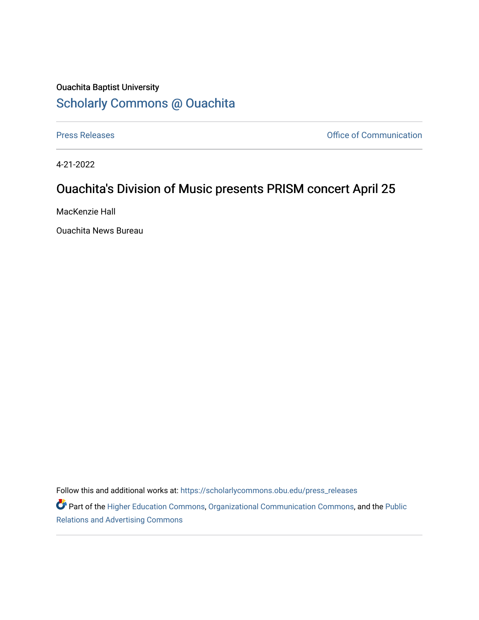## Ouachita Baptist University [Scholarly Commons @ Ouachita](https://scholarlycommons.obu.edu/)

[Press Releases](https://scholarlycommons.obu.edu/press_releases) **Press Releases Communication** 

4-21-2022

## Ouachita's Division of Music presents PRISM concert April 25

MacKenzie Hall

Ouachita News Bureau

Follow this and additional works at: [https://scholarlycommons.obu.edu/press\\_releases](https://scholarlycommons.obu.edu/press_releases?utm_source=scholarlycommons.obu.edu%2Fpress_releases%2F1086&utm_medium=PDF&utm_campaign=PDFCoverPages)

Part of the [Higher Education Commons,](http://network.bepress.com/hgg/discipline/1245?utm_source=scholarlycommons.obu.edu%2Fpress_releases%2F1086&utm_medium=PDF&utm_campaign=PDFCoverPages) [Organizational Communication Commons,](http://network.bepress.com/hgg/discipline/335?utm_source=scholarlycommons.obu.edu%2Fpress_releases%2F1086&utm_medium=PDF&utm_campaign=PDFCoverPages) and the [Public](http://network.bepress.com/hgg/discipline/336?utm_source=scholarlycommons.obu.edu%2Fpress_releases%2F1086&utm_medium=PDF&utm_campaign=PDFCoverPages) [Relations and Advertising Commons](http://network.bepress.com/hgg/discipline/336?utm_source=scholarlycommons.obu.edu%2Fpress_releases%2F1086&utm_medium=PDF&utm_campaign=PDFCoverPages)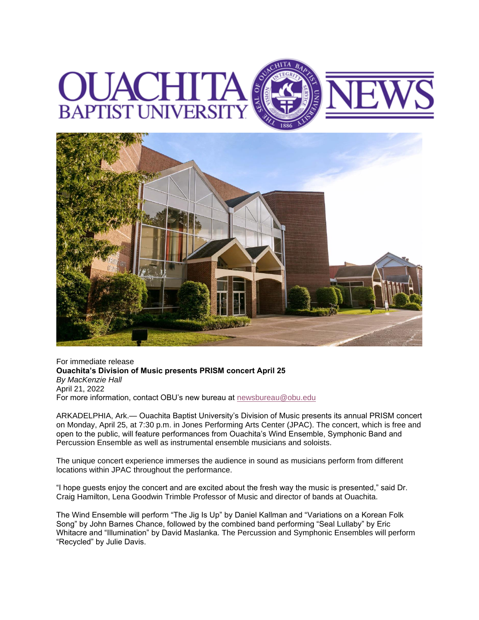



For immediate release **Ouachita's Division of Music presents PRISM concert April 25** *By MacKenzie Hall* April 21, 2022 For more information, contact OBU's new bureau at [newsbureau@obu.edu](mailto:newsbureau@obu.edu)

ARKADELPHIA, Ark.— Ouachita Baptist University's Division of Music presents its annual PRISM concert on Monday, April 25, at 7:30 p.m. in Jones Performing Arts Center (JPAC). The concert, which is free and open to the public, will feature performances from Ouachita's Wind Ensemble, Symphonic Band and Percussion Ensemble as well as instrumental ensemble musicians and soloists.

The unique concert experience immerses the audience in sound as musicians perform from different locations within JPAC throughout the performance.

"I hope guests enjoy the concert and are excited about the fresh way the music is presented," said Dr. Craig Hamilton, Lena Goodwin Trimble Professor of Music and director of bands at Ouachita.

The Wind Ensemble will perform "The Jig Is Up" by Daniel Kallman and "Variations on a Korean Folk Song" by John Barnes Chance, followed by the combined band performing "Seal Lullaby" by Eric Whitacre and "Illumination" by David Maslanka. The Percussion and Symphonic Ensembles will perform "Recycled" by Julie Davis.